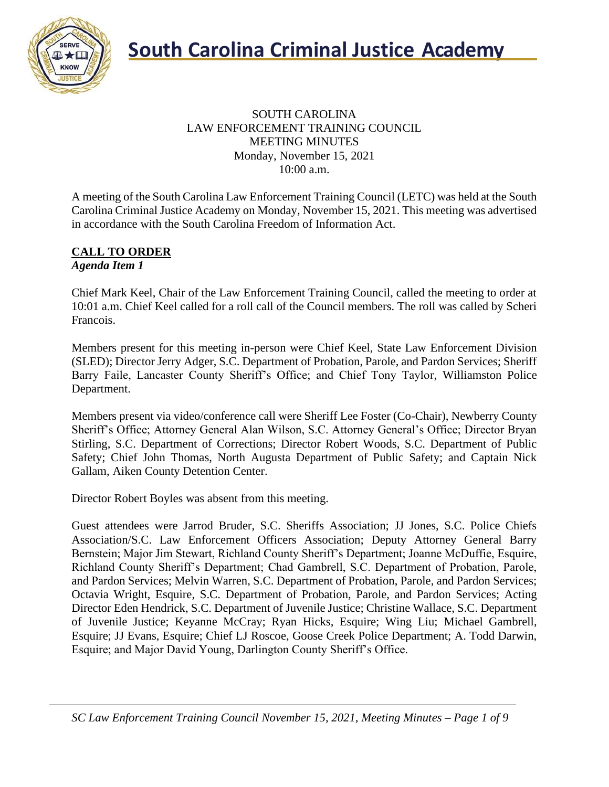

### SOUTH CAROLINA LAW ENFORCEMENT TRAINING COUNCIL MEETING MINUTES Monday, November 15, 2021 10:00 a.m.

A meeting of the South Carolina Law Enforcement Training Council (LETC) was held at the South Carolina Criminal Justice Academy on Monday, November 15, 2021. This meeting was advertised in accordance with the South Carolina Freedom of Information Act.

### **CALL TO ORDER** *Agenda Item 1*

Chief Mark Keel, Chair of the Law Enforcement Training Council, called the meeting to order at 10:01 a.m. Chief Keel called for a roll call of the Council members. The roll was called by Scheri Francois.

Members present for this meeting in-person were Chief Keel, State Law Enforcement Division (SLED); Director Jerry Adger, S.C. Department of Probation, Parole, and Pardon Services; Sheriff Barry Faile, Lancaster County Sheriff's Office; and Chief Tony Taylor, Williamston Police Department.

Members present via video/conference call were Sheriff Lee Foster (Co-Chair), Newberry County Sheriff's Office; Attorney General Alan Wilson, S.C. Attorney General's Office; Director Bryan Stirling, S.C. Department of Corrections; Director Robert Woods, S.C. Department of Public Safety; Chief John Thomas, North Augusta Department of Public Safety; and Captain Nick Gallam, Aiken County Detention Center.

Director Robert Boyles was absent from this meeting.

Guest attendees were Jarrod Bruder, S.C. Sheriffs Association; JJ Jones, S.C. Police Chiefs Association/S.C. Law Enforcement Officers Association; Deputy Attorney General Barry Bernstein; Major Jim Stewart, Richland County Sheriff's Department; Joanne McDuffie, Esquire, Richland County Sheriff's Department; Chad Gambrell, S.C. Department of Probation, Parole, and Pardon Services; Melvin Warren, S.C. Department of Probation, Parole, and Pardon Services; Octavia Wright, Esquire, S.C. Department of Probation, Parole, and Pardon Services; Acting Director Eden Hendrick, S.C. Department of Juvenile Justice; Christine Wallace, S.C. Department of Juvenile Justice; Keyanne McCray; Ryan Hicks, Esquire; Wing Liu; Michael Gambrell, Esquire; JJ Evans, Esquire; Chief LJ Roscoe, Goose Creek Police Department; A. Todd Darwin, Esquire; and Major David Young, Darlington County Sheriff's Office.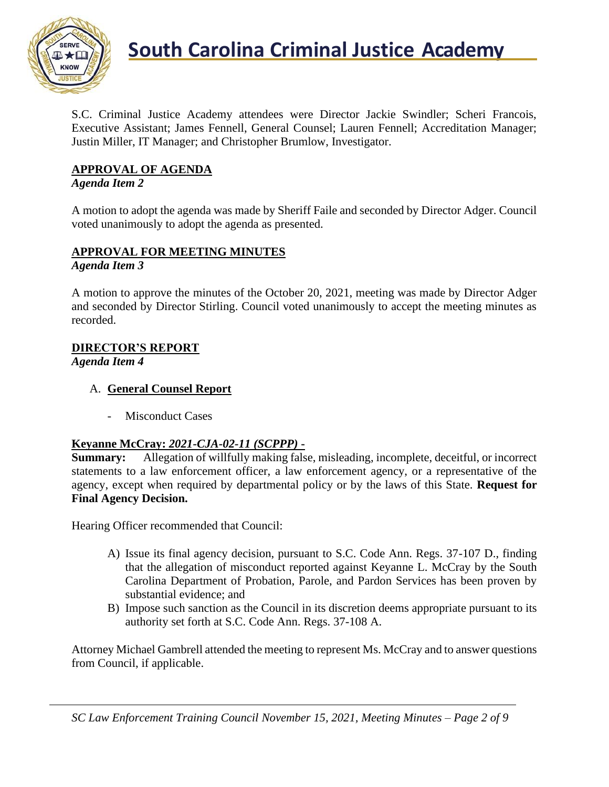

### **South Carolina Criminal Justice Academy**<br>KNOW

S.C. Criminal Justice Academy attendees were Director Jackie Swindler; Scheri Francois, Executive Assistant; James Fennell, General Counsel; Lauren Fennell; Accreditation Manager; Justin Miller, IT Manager; and Christopher Brumlow, Investigator.

### **APPROVAL OF AGENDA**

### *Agenda Item 2*

A motion to adopt the agenda was made by Sheriff Faile and seconded by Director Adger. Council voted unanimously to adopt the agenda as presented.

### **APPROVAL FOR MEETING MINUTES**

*Agenda Item 3*

A motion to approve the minutes of the October 20, 2021, meeting was made by Director Adger and seconded by Director Stirling. Council voted unanimously to accept the meeting minutes as recorded.

### **DIRECTOR'S REPORT**

*Agenda Item 4*

- A. **General Counsel Report**
	- Misconduct Cases

### **Keyanne McCray:** *2021-CJA-02-11 (SCPPP)* **-**

**Summary:** Allegation of willfully making false, misleading, incomplete, deceitful, or incorrect statements to a law enforcement officer, a law enforcement agency, or a representative of the agency, except when required by departmental policy or by the laws of this State. **Request for Final Agency Decision.**

Hearing Officer recommended that Council:

- A) Issue its final agency decision, pursuant to S.C. Code Ann. Regs. 37-107 D., finding that the allegation of misconduct reported against Keyanne L. McCray by the South Carolina Department of Probation, Parole, and Pardon Services has been proven by substantial evidence; and
- B) Impose such sanction as the Council in its discretion deems appropriate pursuant to its authority set forth at S.C. Code Ann. Regs. 37-108 A.

Attorney Michael Gambrell attended the meeting to represent Ms. McCray and to answer questions from Council, if applicable.

*SC Law Enforcement Training Council November 15, 2021, Meeting Minutes – Page 2 of 9*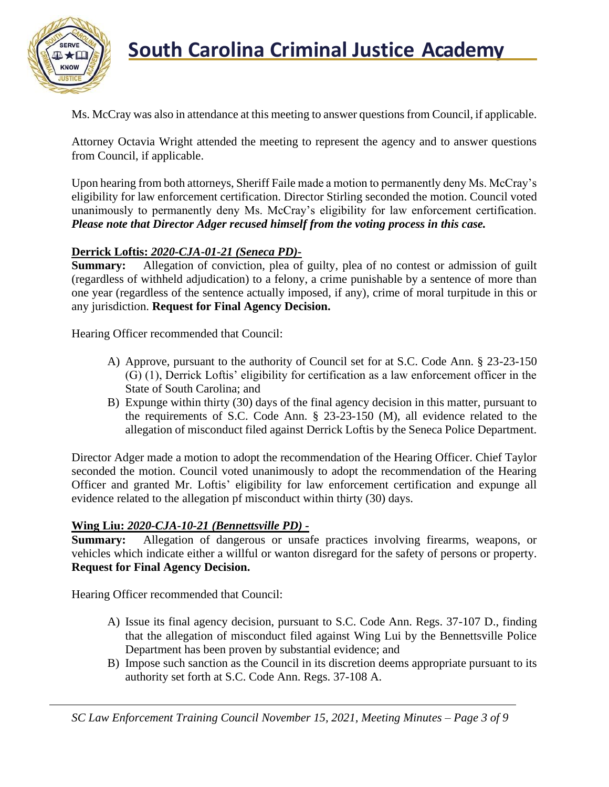

Ms. McCray was also in attendance at this meeting to answer questions from Council, if applicable.

Attorney Octavia Wright attended the meeting to represent the agency and to answer questions from Council, if applicable.

Upon hearing from both attorneys, Sheriff Faile made a motion to permanently deny Ms. McCray's eligibility for law enforcement certification. Director Stirling seconded the motion. Council voted unanimously to permanently deny Ms. McCray's eligibility for law enforcement certification. *Please note that Director Adger recused himself from the voting process in this case.*

### **Derrick Loftis:** *2020-CJA-01-21 (Seneca PD)***-**

**Summary:** Allegation of conviction, plea of guilty, plea of no contest or admission of guilt (regardless of withheld adjudication) to a felony, a crime punishable by a sentence of more than one year (regardless of the sentence actually imposed, if any), crime of moral turpitude in this or any jurisdiction. **Request for Final Agency Decision.**

Hearing Officer recommended that Council:

- A) Approve, pursuant to the authority of Council set for at S.C. Code Ann. § 23-23-150 (G) (1), Derrick Loftis' eligibility for certification as a law enforcement officer in the State of South Carolina; and
- B) Expunge within thirty (30) days of the final agency decision in this matter, pursuant to the requirements of S.C. Code Ann. § 23-23-150 (M), all evidence related to the allegation of misconduct filed against Derrick Loftis by the Seneca Police Department.

Director Adger made a motion to adopt the recommendation of the Hearing Officer. Chief Taylor seconded the motion. Council voted unanimously to adopt the recommendation of the Hearing Officer and granted Mr. Loftis' eligibility for law enforcement certification and expunge all evidence related to the allegation pf misconduct within thirty (30) days.

### **Wing Liu:** *2020-CJA-10-21 (Bennettsville PD) -*

**Summary:** Allegation of dangerous or unsafe practices involving firearms, weapons, or vehicles which indicate either a willful or wanton disregard for the safety of persons or property. **Request for Final Agency Decision.**

Hearing Officer recommended that Council:

- A) Issue its final agency decision, pursuant to S.C. Code Ann. Regs. 37-107 D., finding that the allegation of misconduct filed against Wing Lui by the Bennettsville Police Department has been proven by substantial evidence; and
- B) Impose such sanction as the Council in its discretion deems appropriate pursuant to its authority set forth at S.C. Code Ann. Regs. 37-108 A.

*SC Law Enforcement Training Council November 15, 2021, Meeting Minutes – Page 3 of 9*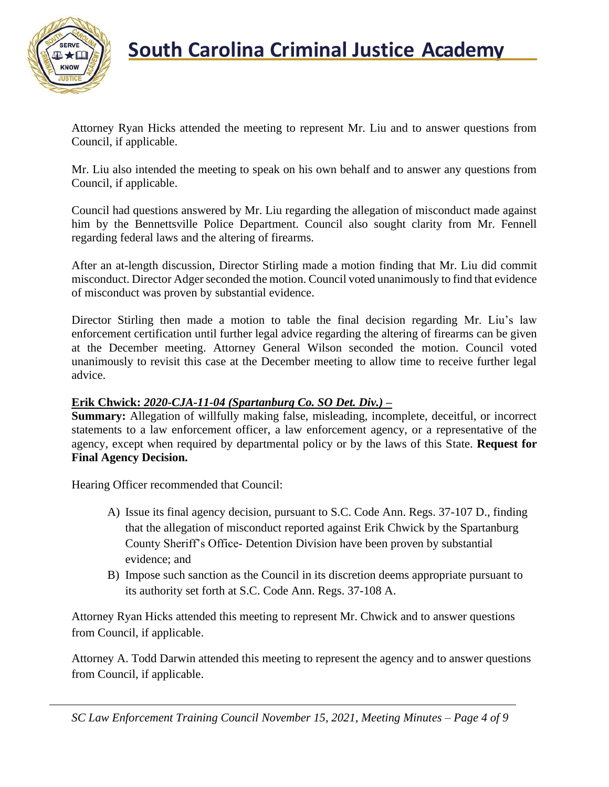

Attorney Ryan Hicks attended the meeting to represent Mr. Liu and to answer questions from Council, if applicable.

Mr. Liu also intended the meeting to speak on his own behalf and to answer any questions from Council, if applicable.

Council had questions answered by Mr. Liu regarding the allegation of misconduct made against him by the Bennettsville Police Department. Council also sought clarity from Mr. Fennell regarding federal laws and the altering of firearms.

After an at-length discussion, Director Stirling made a motion finding that Mr. Liu did commit misconduct. Director Adger seconded the motion. Council voted unanimously to find that evidence of misconduct was proven by substantial evidence.

Director Stirling then made a motion to table the final decision regarding Mr. Liu's law enforcement certification until further legal advice regarding the altering of firearms can be given at the December meeting. Attorney General Wilson seconded the motion. Council voted unanimously to revisit this case at the December meeting to allow time to receive further legal advice.

### **Erik Chwick:** *2020-CJA-11-04 (Spartanburg Co. SO Det. Div.) –*

**Summary:** Allegation of willfully making false, misleading, incomplete, deceitful, or incorrect statements to a law enforcement officer, a law enforcement agency, or a representative of the agency, except when required by departmental policy or by the laws of this State. **Request for Final Agency Decision.**

Hearing Officer recommended that Council:

- A) Issue its final agency decision, pursuant to S.C. Code Ann. Regs. 37-107 D., finding that the allegation of misconduct reported against Erik Chwick by the Spartanburg County Sheriff's Office- Detention Division have been proven by substantial evidence; and
- B) Impose such sanction as the Council in its discretion deems appropriate pursuant to its authority set forth at S.C. Code Ann. Regs. 37-108 A.

Attorney Ryan Hicks attended this meeting to represent Mr. Chwick and to answer questions from Council, if applicable.

Attorney A. Todd Darwin attended this meeting to represent the agency and to answer questions from Council, if applicable.

*SC Law Enforcement Training Council November 15, 2021, Meeting Minutes – Page 4 of 9*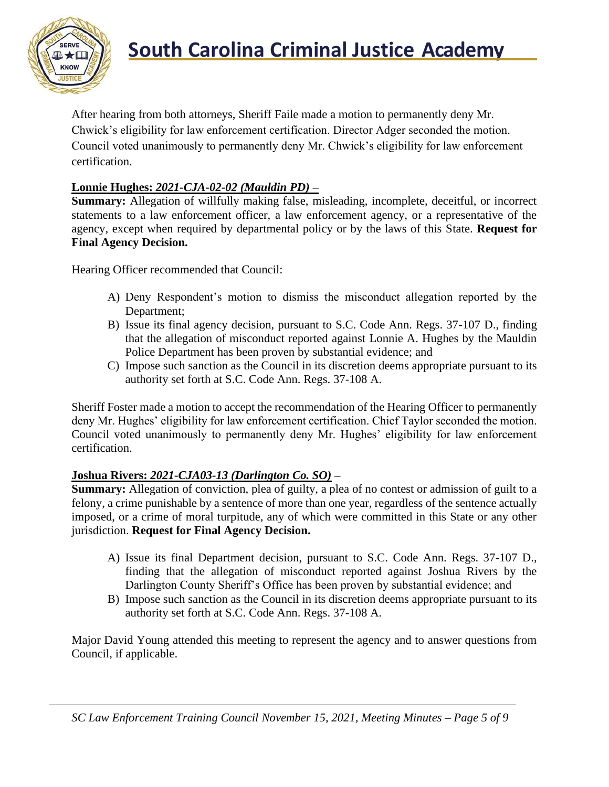

## **South Carolina Criminal Justice Academy**<br>KNOW

After hearing from both attorneys, Sheriff Faile made a motion to permanently deny Mr. Chwick's eligibility for law enforcement certification. Director Adger seconded the motion. Council voted unanimously to permanently deny Mr. Chwick's eligibility for law enforcement certification.

### **Lonnie Hughes:** *2021-CJA-02-02 (Mauldin PD) –*

**Summary:** Allegation of willfully making false, misleading, incomplete, deceitful, or incorrect statements to a law enforcement officer, a law enforcement agency, or a representative of the agency, except when required by departmental policy or by the laws of this State. **Request for Final Agency Decision.**

Hearing Officer recommended that Council:

- A) Deny Respondent's motion to dismiss the misconduct allegation reported by the Department;
- B) Issue its final agency decision, pursuant to S.C. Code Ann. Regs. 37-107 D., finding that the allegation of misconduct reported against Lonnie A. Hughes by the Mauldin Police Department has been proven by substantial evidence; and
- C) Impose such sanction as the Council in its discretion deems appropriate pursuant to its authority set forth at S.C. Code Ann. Regs. 37-108 A.

Sheriff Foster made a motion to accept the recommendation of the Hearing Officer to permanently deny Mr. Hughes' eligibility for law enforcement certification. Chief Taylor seconded the motion. Council voted unanimously to permanently deny Mr. Hughes' eligibility for law enforcement certification.

### **Joshua Rivers:** *2021-CJA03-13 (Darlington Co. SO)* **–**

**Summary:** Allegation of conviction, plea of guilty, a plea of no contest or admission of guilt to a felony, a crime punishable by a sentence of more than one year, regardless of the sentence actually imposed, or a crime of moral turpitude, any of which were committed in this State or any other jurisdiction. **Request for Final Agency Decision.**

- A) Issue its final Department decision, pursuant to S.C. Code Ann. Regs. 37-107 D., finding that the allegation of misconduct reported against Joshua Rivers by the Darlington County Sheriff's Office has been proven by substantial evidence; and
- B) Impose such sanction as the Council in its discretion deems appropriate pursuant to its authority set forth at S.C. Code Ann. Regs. 37-108 A.

Major David Young attended this meeting to represent the agency and to answer questions from Council, if applicable.

*SC Law Enforcement Training Council November 15, 2021, Meeting Minutes – Page 5 of 9*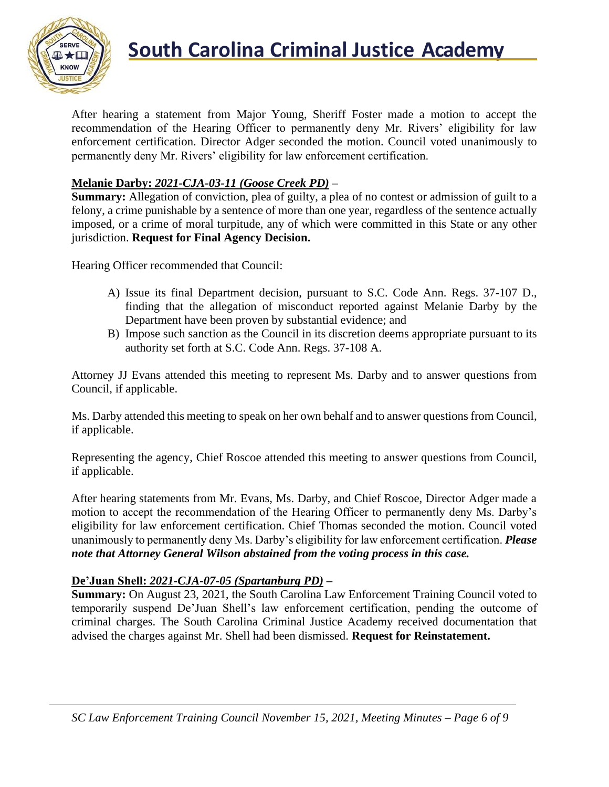

## **South Carolina Criminal Justice Academy**<br>KNOW

After hearing a statement from Major Young, Sheriff Foster made a motion to accept the recommendation of the Hearing Officer to permanently deny Mr. Rivers' eligibility for law enforcement certification. Director Adger seconded the motion. Council voted unanimously to permanently deny Mr. Rivers' eligibility for law enforcement certification.

### **Melanie Darby:** *2021-CJA-03-11 (Goose Creek PD)* **–**

**Summary:** Allegation of conviction, plea of guilty, a plea of no contest or admission of guilt to a felony, a crime punishable by a sentence of more than one year, regardless of the sentence actually imposed, or a crime of moral turpitude, any of which were committed in this State or any other jurisdiction. **Request for Final Agency Decision.**

Hearing Officer recommended that Council:

- A) Issue its final Department decision, pursuant to S.C. Code Ann. Regs. 37-107 D., finding that the allegation of misconduct reported against Melanie Darby by the Department have been proven by substantial evidence; and
- B) Impose such sanction as the Council in its discretion deems appropriate pursuant to its authority set forth at S.C. Code Ann. Regs. 37-108 A.

Attorney JJ Evans attended this meeting to represent Ms. Darby and to answer questions from Council, if applicable.

Ms. Darby attended this meeting to speak on her own behalf and to answer questions from Council, if applicable.

Representing the agency, Chief Roscoe attended this meeting to answer questions from Council, if applicable.

After hearing statements from Mr. Evans, Ms. Darby, and Chief Roscoe, Director Adger made a motion to accept the recommendation of the Hearing Officer to permanently deny Ms. Darby's eligibility for law enforcement certification. Chief Thomas seconded the motion. Council voted unanimously to permanently deny Ms. Darby's eligibility for law enforcement certification. *Please note that Attorney General Wilson abstained from the voting process in this case.*

### **De'Juan Shell:** *2021-CJA-07-05 (Spartanburg PD)* **–**

**Summary:** On August 23, 2021, the South Carolina Law Enforcement Training Council voted to temporarily suspend De'Juan Shell's law enforcement certification, pending the outcome of criminal charges. The South Carolina Criminal Justice Academy received documentation that advised the charges against Mr. Shell had been dismissed. **Request for Reinstatement.**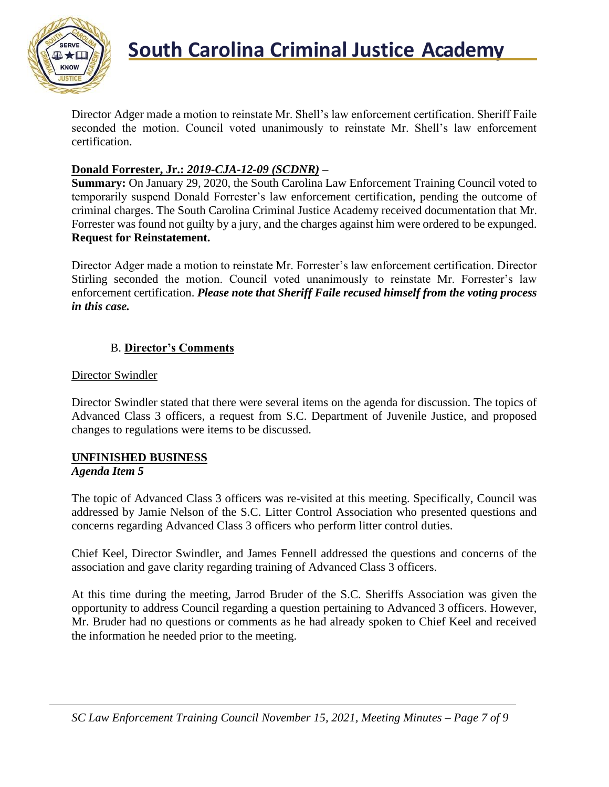

Director Adger made a motion to reinstate Mr. Shell's law enforcement certification. Sheriff Faile seconded the motion. Council voted unanimously to reinstate Mr. Shell's law enforcement certification.

### **Donald Forrester, Jr.:** *2019-CJA-12-09 (SCDNR)* **–**

**Summary:** On January 29, 2020, the South Carolina Law Enforcement Training Council voted to temporarily suspend Donald Forrester's law enforcement certification, pending the outcome of criminal charges. The South Carolina Criminal Justice Academy received documentation that Mr. Forrester was found not guilty by a jury, and the charges against him were ordered to be expunged. **Request for Reinstatement.**

Director Adger made a motion to reinstate Mr. Forrester's law enforcement certification. Director Stirling seconded the motion. Council voted unanimously to reinstate Mr. Forrester's law enforcement certification. *Please note that Sheriff Faile recused himself from the voting process in this case.*

### B. **Director's Comments**

### Director Swindler

Director Swindler stated that there were several items on the agenda for discussion. The topics of Advanced Class 3 officers, a request from S.C. Department of Juvenile Justice, and proposed changes to regulations were items to be discussed.

### **UNFINISHED BUSINESS**

### *Agenda Item 5*

The topic of Advanced Class 3 officers was re-visited at this meeting. Specifically, Council was addressed by Jamie Nelson of the S.C. Litter Control Association who presented questions and concerns regarding Advanced Class 3 officers who perform litter control duties.

Chief Keel, Director Swindler, and James Fennell addressed the questions and concerns of the association and gave clarity regarding training of Advanced Class 3 officers.

At this time during the meeting, Jarrod Bruder of the S.C. Sheriffs Association was given the opportunity to address Council regarding a question pertaining to Advanced 3 officers. However, Mr. Bruder had no questions or comments as he had already spoken to Chief Keel and received the information he needed prior to the meeting.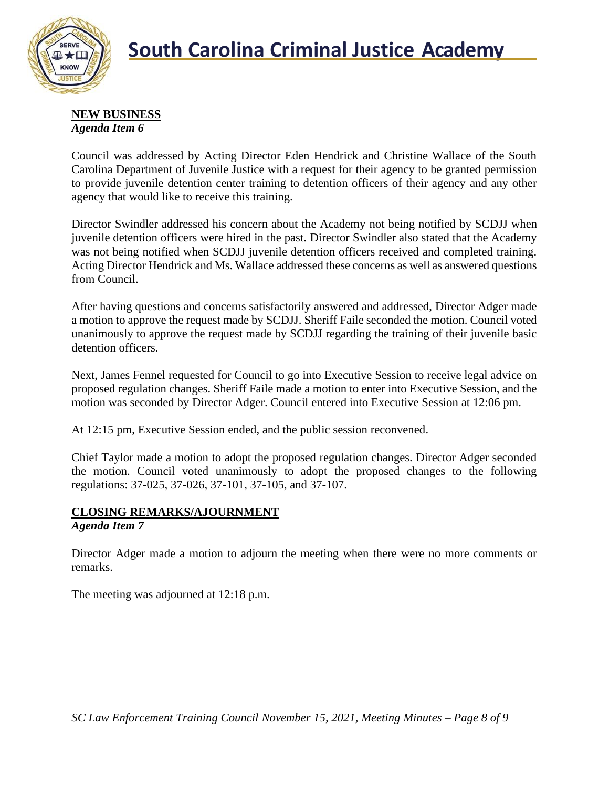

#### **NEW BUSINESS** *Agenda Item 6*

Council was addressed by Acting Director Eden Hendrick and Christine Wallace of the South Carolina Department of Juvenile Justice with a request for their agency to be granted permission to provide juvenile detention center training to detention officers of their agency and any other agency that would like to receive this training.

Director Swindler addressed his concern about the Academy not being notified by SCDJJ when juvenile detention officers were hired in the past. Director Swindler also stated that the Academy was not being notified when SCDJJ juvenile detention officers received and completed training. Acting Director Hendrick and Ms. Wallace addressed these concerns as well as answered questions from Council.

After having questions and concerns satisfactorily answered and addressed, Director Adger made a motion to approve the request made by SCDJJ. Sheriff Faile seconded the motion. Council voted unanimously to approve the request made by SCDJJ regarding the training of their juvenile basic detention officers.

Next, James Fennel requested for Council to go into Executive Session to receive legal advice on proposed regulation changes. Sheriff Faile made a motion to enter into Executive Session, and the motion was seconded by Director Adger. Council entered into Executive Session at 12:06 pm.

At 12:15 pm, Executive Session ended, and the public session reconvened.

Chief Taylor made a motion to adopt the proposed regulation changes. Director Adger seconded the motion. Council voted unanimously to adopt the proposed changes to the following regulations: 37-025, 37-026, 37-101, 37-105, and 37-107.

### **CLOSING REMARKS/AJOURNMENT**

### *Agenda Item 7*

Director Adger made a motion to adjourn the meeting when there were no more comments or remarks.

The meeting was adjourned at 12:18 p.m.